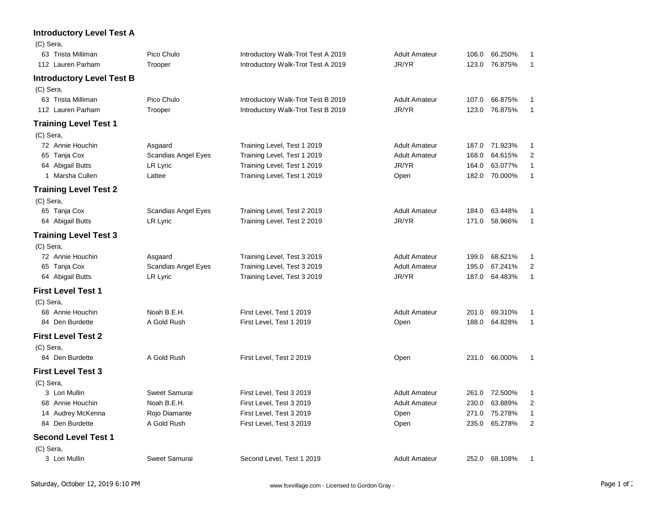## **Introductory Level Test A**

| (C) Sera,                        |                     |                                    |                      |       |               |                  |
|----------------------------------|---------------------|------------------------------------|----------------------|-------|---------------|------------------|
| 63 Trista Milliman               | Pico Chulo          | Introductory Walk-Trot Test A 2019 | <b>Adult Amateur</b> | 106.0 | 66.250%       | 1                |
| 112 Lauren Parham                | Trooper             | Introductory Walk-Trot Test A 2019 | JR/YR                | 123.0 | 76.875%       | $\mathbf{1}$     |
| <b>Introductory Level Test B</b> |                     |                                    |                      |       |               |                  |
| (C) Sera,                        |                     |                                    |                      |       |               |                  |
| 63 Trista Milliman               | Pico Chulo          | Introductory Walk-Trot Test B 2019 | <b>Adult Amateur</b> | 107.0 | 66.875%       | 1                |
| 112 Lauren Parham                | Trooper             | Introductory Walk-Trot Test B 2019 | JR/YR                |       | 123.0 76.875% | $\mathbf{1}$     |
| <b>Training Level Test 1</b>     |                     |                                    |                      |       |               |                  |
| (C) Sera,                        |                     |                                    |                      |       |               |                  |
| 72 Annie Houchin                 | Asgaard             | Training Level, Test 1 2019        | <b>Adult Amateur</b> | 187.0 | 71.923%       | $\mathbf{1}$     |
| 65 Tanja Cox                     | Scandias Angel Eyes | Training Level, Test 1 2019        | <b>Adult Amateur</b> | 168.0 | 64.615%       | $\overline{2}$   |
| 64 Abigail Butts                 | LR Lyric            | Training Level, Test 1 2019        | JR/YR                | 164.0 | 63.077%       | $\mathbf{1}$     |
| 1 Marsha Cullen                  | Lattee              | Training Level, Test 1 2019        | Open                 | 182.0 | 70.000%       | $\mathbf{1}$     |
| <b>Training Level Test 2</b>     |                     |                                    |                      |       |               |                  |
| (C) Sera,                        |                     |                                    |                      |       |               |                  |
| 65 Tanja Cox                     | Scandias Angel Eyes | Training Level, Test 2 2019        | <b>Adult Amateur</b> | 184.0 | 63.448%       | 1                |
| 64 Abigail Butts                 | LR Lyric            | Training Level, Test 2 2019        | JR/YR                | 171.0 | 58.966%       | $\mathbf{1}$     |
| <b>Training Level Test 3</b>     |                     |                                    |                      |       |               |                  |
| (C) Sera,                        |                     |                                    |                      |       |               |                  |
| 72 Annie Houchin                 | Asgaard             | Training Level, Test 3 2019        | <b>Adult Amateur</b> | 199.0 | 68.621%       | 1                |
| 65 Tanja Cox                     | Scandias Angel Eyes | Training Level, Test 3 2019        | <b>Adult Amateur</b> | 195.0 | 67.241%       | $\overline{2}$   |
| 64 Abigail Butts                 | LR Lyric            | Training Level, Test 3 2019        | JR/YR                | 187.0 | 64.483%       | $\mathbf{1}$     |
| <b>First Level Test 1</b>        |                     |                                    |                      |       |               |                  |
| (C) Sera,                        |                     |                                    |                      |       |               |                  |
| 68 Annie Houchin                 | Noah B.E.H.         | First Level, Test 1 2019           | <b>Adult Amateur</b> | 201.0 | 69.310%       | 1                |
| 84 Den Burdette                  | A Gold Rush         | First Level, Test 1 2019           | Open                 | 188.0 | 64.828%       | $\mathbf{1}$     |
| <b>First Level Test 2</b>        |                     |                                    |                      |       |               |                  |
| (C) Sera,                        |                     |                                    |                      |       |               |                  |
| 84 Den Burdette                  | A Gold Rush         | First Level, Test 2 2019           | Open                 | 231.0 | 66.000%       | $\mathbf 1$      |
| <b>First Level Test 3</b>        |                     |                                    |                      |       |               |                  |
| (C) Sera,                        |                     |                                    |                      |       |               |                  |
| 3 Lori Mullin                    | Sweet Samurai       | First Level, Test 3 2019           | <b>Adult Amateur</b> |       | 261.0 72.500% | $\mathbf{1}$     |
| 68 Annie Houchin                 | Noah B.E.H.         | First Level, Test 3 2019           | <b>Adult Amateur</b> | 230.0 | 63.889%       | $\boldsymbol{2}$ |
| 14 Audrey McKenna                | Rojo Diamante       | First Level, Test 3 2019           | Open                 | 271.0 | 75.278%       | $\mathbf{1}$     |
| 84 Den Burdette                  | A Gold Rush         | First Level, Test 3 2019           | Open                 | 235.0 | 65.278%       | $\overline{2}$   |
| <b>Second Level Test 1</b>       |                     |                                    |                      |       |               |                  |
| (C) Sera,                        |                     |                                    |                      |       |               |                  |
| 3 Lori Mullin                    | Sweet Samurai       | Second Level, Test 1 2019          | <b>Adult Amateur</b> |       | 252.0 68.108% | -1               |
|                                  |                     |                                    |                      |       |               |                  |